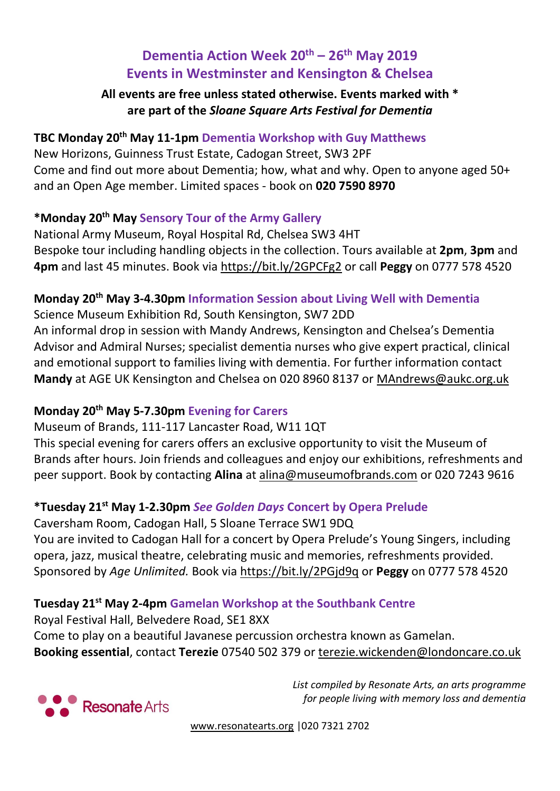# **Dementia Action Week 20th – 26th May 2019 Events in Westminster and Kensington & Chelsea**

#### **All events are free unless stated otherwise. Events marked with \* are part of the** *Sloane Square Arts Festival for Dementia*

# **TBC Monday 20th May 11-1pm Dementia Workshop with Guy Matthews**

New Horizons, Guinness Trust Estate, Cadogan Street, SW3 2PF Come and find out more about Dementia; how, what and why. Open to anyone aged 50+ and an Open Age member. Limited spaces - book on **020 7590 8970**

#### **\*Monday 20th May Sensory Tour of the Army Gallery**

National Army Museum, Royal Hospital Rd, Chelsea SW3 4HT Bespoke tour including handling objects in the collection. Tours available at **2pm**, **3pm** and **4pm** and last 45 minutes. Book via <https://bit.ly/2GPCFg2> or call **Peggy** on 0777 578 4520

#### **Monday 20th May 3-4.30pm Information Session about Living Well with Dementia**

Science Museum Exhibition Rd, South Kensington, SW7 2DD An informal drop in session with Mandy Andrews, Kensington and Chelsea's Dementia Advisor and Admiral Nurses; specialist dementia nurses who give expert practical, clinical and emotional support to families living with dementia. For further information contact **Mandy** at AGE UK Kensington and Chelsea on 020 8960 8137 or [MAndrews@aukc.org.uk](mailto:MAndrews@aukc.org.uk)

# **Monday 20th May 5-7.30pm Evening for Carers**

#### Museum of Brands, 111-117 Lancaster Road, W11 1QT

This special evening for carers offers an exclusive opportunity to visit the Museum of Brands after hours. Join friends and colleagues and enjoy our exhibitions, refreshments and peer support. Book by contacting **Alina** at alina@museumofbrands.com or 020 7243 9616

# **\*Tuesday 21st May 1-2.30pm** *See Golden Days* **Concert by Opera Prelude**

Caversham Room, Cadogan Hall, 5 Sloane Terrace SW1 9DQ You are invited to Cadogan Hall for a concert by Opera Prelude's Young Singers, including opera, jazz, musical theatre, celebrating music and memories, refreshments provided. Sponsored by *Age Unlimited.* Book via <https://bit.ly/2PGjd9q> or **Peggy** on 0777 578 4520

# **Tuesday 21st May 2-4pm Gamelan Workshop at the Southbank Centre**

Royal Festival Hall, Belvedere Road, SE1 8XX Come to play on a beautiful Javanese percussion orchestra known as Gamelan. **Booking essential**, contact **Terezie** 07540 502 379 or [terezie.wickenden@londoncare.co.uk](mailto:terezie.wickenden@londoncare.co.uk)



*List compiled by Resonate Arts, an arts programme for people living with memory loss and dementia*

[www.resonatearts.org](http://www.resonatearts.org/) |020 7321 2702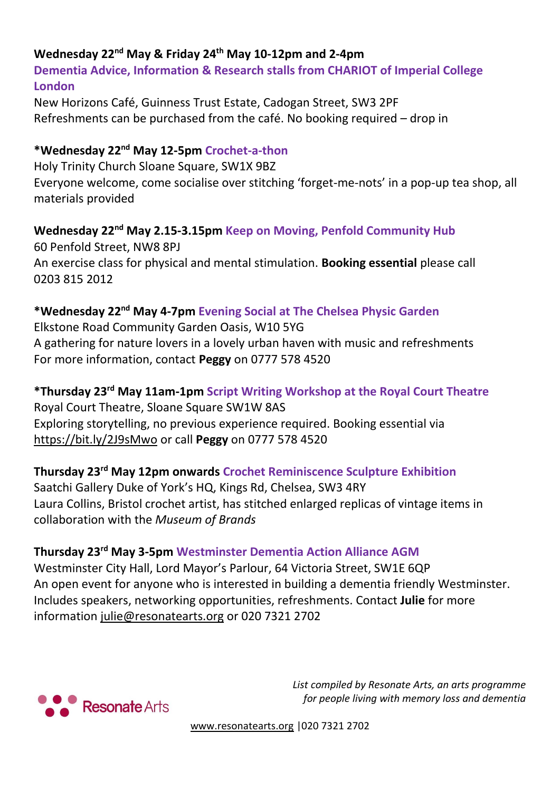# **Wednesday 22nd May & Friday 24th May 10-12pm and 2-4pm**

**Dementia Advice, Information & Research stalls from CHARIOT of Imperial College London**

New Horizons Café, Guinness Trust Estate, Cadogan Street, SW3 2PF Refreshments can be purchased from the café. No booking required – drop in

#### **\*Wednesday 22nd May 12-5pm Crochet-a-thon**

Holy Trinity Church Sloane Square, SW1X 9BZ Everyone welcome, come socialise over stitching 'forget-me-nots' in a pop-up tea shop, all materials provided

# **Wednesday 22nd May 2.15-3.15pm Keep on Moving, Penfold Community Hub**

60 Penfold Street, NW8 8PJ An exercise class for physical and mental stimulation. **Booking essential** please call 0203 815 2012

# **\*Wednesday 22nd May 4-7pm Evening Social at The Chelsea Physic Garden**

Elkstone Road Community Garden Oasis, W10 5YG A gathering for nature lovers in a lovely urban haven with music and refreshments For more information, contact **Peggy** on 0777 578 4520

# **\*Thursday 23rd May 11am-1pm Script Writing Workshop at the Royal Court Theatre**

Royal Court Theatre, Sloane Square SW1W 8AS Exploring storytelling, no previous experience required. Booking essential via <https://bit.ly/2J9sMwo> or call **Peggy** on 0777 578 4520

#### **Thursday 23rd May 12pm onwards Crochet Reminiscence Sculpture Exhibition**

Saatchi Gallery Duke of York's HQ, Kings Rd, Chelsea, SW3 4RY Laura Collins, Bristol crochet artist, has stitched enlarged replicas of vintage items in collaboration with the *Museum of Brands*

#### **Thursday 23rd May 3-5pm Westminster Dementia Action Alliance AGM**

Westminster City Hall, Lord Mayor's Parlour, 64 Victoria Street, SW1E 6QP An open event for anyone who is interested in building a dementia friendly Westminster. Includes speakers, networking opportunities, refreshments. Contact **Julie** for more information [julie@resonatearts.org](mailto:julie@resonatearts.org) or 020 7321 2702



*List compiled by Resonate Arts, an arts programme for people living with memory loss and dementia*

[www.resonatearts.org](http://www.resonatearts.org/) |020 7321 2702